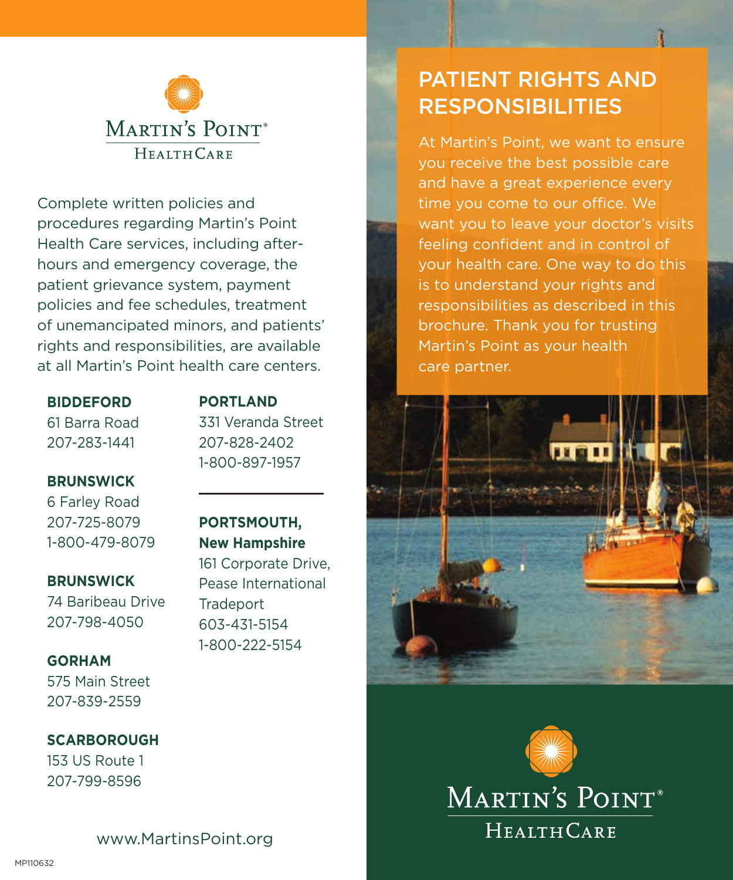

Complete written policies and procedures regarding Martin's Point Health Care services, including afterhours and emergency coverage, the patient grievance system, payment policies and fee schedules, treatment of unemancipated minors, and patients' rights and responsibilities, are available at all Martin's Point health care centers.

**BIDDEFORD** 61 Barra Road 207-283-1441

### **PORTLAND**

331 Veranda Street 207-828-2402 1-800-897-1957

**BRUNSWICK**

6 Farley Road 207-725-8079 1-800-479-8079

**BRUNSWICK**

74 Baribeau Drive 207-798-4050

**GORHAM** 575 Main Street

207-839-2559

**SCARBOROUGH** 153 US Route 1 207-799-8596

**PORTSMOUTH, New Hampshire**

161 Corporate Drive, Pease International **Tradeport** 603-431-5154 1-800-222-5154

# PATIENT RIGHTS AND **RESPONSIBILITIES**

At Martin's Point, we want to ensure you receive the best possible care and have a great experience every time you come to our office. We want you to leave your doctor's visits feeling confident and in control of your health care. One way to do this is to understand your rights and responsibilities as described in this brochure. Thank you for trusting Martin's Point as your health care partner.





www.MartinsPoint.org